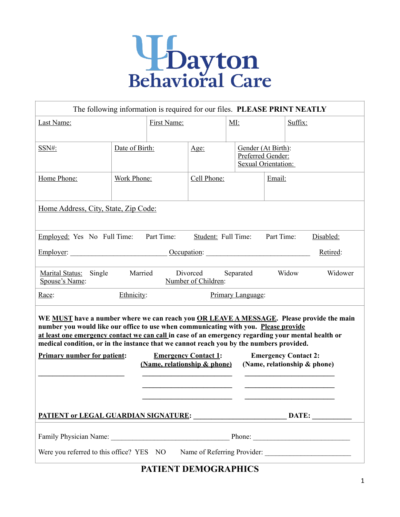

| The following information is required for our files. PLEASE PRINT NEATLY                                                                                                                                                                                                                                                                                                                                                                                                                                                                             |                                 |  |             |                                         |  |                     |         |  |
|------------------------------------------------------------------------------------------------------------------------------------------------------------------------------------------------------------------------------------------------------------------------------------------------------------------------------------------------------------------------------------------------------------------------------------------------------------------------------------------------------------------------------------------------------|---------------------------------|--|-------------|-----------------------------------------|--|---------------------|---------|--|
| Last Name:                                                                                                                                                                                                                                                                                                                                                                                                                                                                                                                                           |                                 |  |             | MI:                                     |  |                     | Suffix: |  |
|                                                                                                                                                                                                                                                                                                                                                                                                                                                                                                                                                      |                                 |  |             |                                         |  |                     |         |  |
| SSN#:                                                                                                                                                                                                                                                                                                                                                                                                                                                                                                                                                | Date of Birth:                  |  | Age:        | Gender (At Birth):<br>Preferred Gender: |  | Sexual Orientation: |         |  |
| Home Phone:                                                                                                                                                                                                                                                                                                                                                                                                                                                                                                                                          | Work Phone:                     |  | Cell Phone: |                                         |  | Email:              |         |  |
|                                                                                                                                                                                                                                                                                                                                                                                                                                                                                                                                                      |                                 |  |             |                                         |  |                     |         |  |
| Home Address, City, State, Zip Code:                                                                                                                                                                                                                                                                                                                                                                                                                                                                                                                 |                                 |  |             |                                         |  |                     |         |  |
| Part Time:<br>Part Time:<br>Student: Full Time:<br>Employed: Yes No Full Time:<br>Disabled:                                                                                                                                                                                                                                                                                                                                                                                                                                                          |                                 |  |             |                                         |  |                     |         |  |
| Occupation:<br>Retired:<br>Employer:                                                                                                                                                                                                                                                                                                                                                                                                                                                                                                                 |                                 |  |             |                                         |  |                     |         |  |
| Married<br>Divorced<br>Separated<br>Widow<br>Widower<br>Single<br><b>Marital Status:</b><br>Spouse's Name:<br>Number of Children:                                                                                                                                                                                                                                                                                                                                                                                                                    |                                 |  |             |                                         |  |                     |         |  |
| Race:                                                                                                                                                                                                                                                                                                                                                                                                                                                                                                                                                | Ethnicity:<br>Primary Language: |  |             |                                         |  |                     |         |  |
| WE MUST have a number where we can reach you OR LEAVE A MESSAGE. Please provide the main<br>number you would like our office to use when communicating with you. Please provide<br>at least one emergency contact we can call in case of an emergency regarding your mental health or<br>medical condition, or in the instance that we cannot reach you by the numbers provided.<br><b>Primary number for patient:</b><br><b>Emergency Contact 1:</b><br><b>Emergency Contact 2:</b><br>(Name, relationship & phone)<br>(Name, relationship & phone) |                                 |  |             |                                         |  |                     |         |  |
| <u>PATIENT or LEGAL GUARDIAN SIGNATURE: __________________________________DATE: _________________________________</u>                                                                                                                                                                                                                                                                                                                                                                                                                                |                                 |  |             |                                         |  |                     |         |  |
|                                                                                                                                                                                                                                                                                                                                                                                                                                                                                                                                                      |                                 |  |             |                                         |  |                     |         |  |
| Were you referred to this office? YES NO                                                                                                                                                                                                                                                                                                                                                                                                                                                                                                             |                                 |  |             |                                         |  |                     |         |  |

# **PATIENT DEMOGRAPHICS**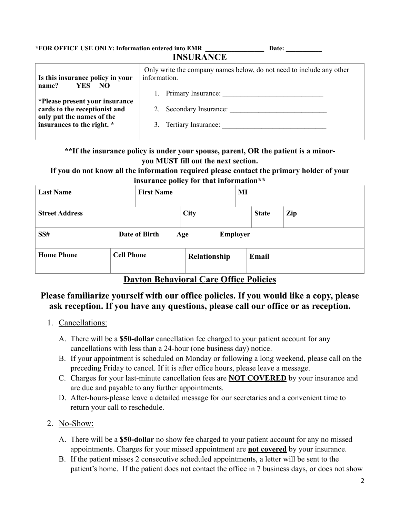**\*FOR OFFICE USE ONLY: Information entered into EMR \_\_\_\_\_\_\_\_\_\_\_\_\_\_\_\_\_\_ Date: \_\_\_\_\_\_\_\_\_\_\_ INSURANCE Is this insurance policy in your name? YES NO**  Only write the company names below, do not need to include any other information.

| namv.<br>.                                                      | 1. Primary Insurance:   |
|-----------------------------------------------------------------|-------------------------|
| *Please present your insurance<br>cards to the receptionist and | 2. Secondary Insurance: |
| only put the names of the                                       |                         |
| insurances to the right. *                                      | 3. Tertiary Insurance:  |
|                                                                 |                         |

### **\*\*If the insurance policy is under your spouse, parent, OR the patient is a minoryou MUST fill out the next section.**

#### **If you do not know all the information required please contact the primary holder of your insurance policy for that information\*\***

| <b>First Name</b><br><b>Last Name</b> |                   |  | MI          |                 |  |              |     |  |
|---------------------------------------|-------------------|--|-------------|-----------------|--|--------------|-----|--|
| <b>Street Address</b>                 |                   |  | <b>City</b> |                 |  | <b>State</b> | Zip |  |
| SS#                                   | Date of Birth     |  | Age         | <b>Employer</b> |  |              |     |  |
| <b>Home Phone</b>                     | <b>Cell Phone</b> |  |             | Relationship    |  | Email        |     |  |

**Dayton Behavioral Care Office Policies** 

## **Please familiarize yourself with our office policies. If you would like a copy, please ask reception. If you have any questions, please call our office or as reception.**

- 1. Cancellations:
	- A. There will be a **\$50-dollar** cancellation fee charged to your patient account for any cancellations with less than a 24-hour (one business day) notice.
	- B. If your appointment is scheduled on Monday or following a long weekend, please call on the preceding Friday to cancel. If it is after office hours, please leave a message.
	- C. Charges for your last-minute cancellation fees are **NOT COVERED** by your insurance and are due and payable to any further appointments.
	- D. After-hours-please leave a detailed message for our secretaries and a convenient time to return your call to reschedule.

# 2. No-Show:

- A. There will be a **\$50-dollar** no show fee charged to your patient account for any no missed appointments. Charges for your missed appointment are **not covered** by your insurance.
- B. If the patient misses 2 consecutive scheduled appointments, a letter will be sent to the patient's home. If the patient does not contact the office in 7 business days, or does not show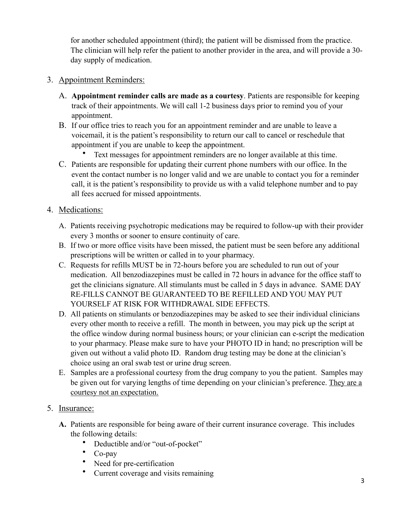for another scheduled appointment (third); the patient will be dismissed from the practice. The clinician will help refer the patient to another provider in the area, and will provide a 30 day supply of medication.

### 3. Appointment Reminders:

- A. **Appointment reminder calls are made as a courtesy**. Patients are responsible for keeping track of their appointments. We will call 1-2 business days prior to remind you of your appointment.
- B. If our office tries to reach you for an appointment reminder and are unable to leave a voicemail, it is the patient's responsibility to return our call to cancel or reschedule that appointment if you are unable to keep the appointment.
	- Text messages for appointment reminders are no longer available at this time.
- C. Patients are responsible for updating their current phone numbers with our office. In the event the contact number is no longer valid and we are unable to contact you for a reminder call, it is the patient's responsibility to provide us with a valid telephone number and to pay all fees accrued for missed appointments.

### 4. Medications:

- A. Patients receiving psychotropic medications may be required to follow-up with their provider every 3 months or sooner to ensure continuity of care.
- B. If two or more office visits have been missed, the patient must be seen before any additional prescriptions will be written or called in to your pharmacy.
- C. Requests for refills MUST be in 72-hours before you are scheduled to run out of your medication. All benzodiazepines must be called in 72 hours in advance for the office staff to get the clinicians signature. All stimulants must be called in 5 days in advance. SAME DAY RE-FILLS CANNOT BE GUARANTEED TO BE REFILLED AND YOU MAY PUT YOURSELF AT RISK FOR WITHDRAWAL SIDE EFFECTS.
- D. All patients on stimulants or benzodiazepines may be asked to see their individual clinicians every other month to receive a refill. The month in between, you may pick up the script at the office window during normal business hours; or your clinician can e-script the medication to your pharmacy. Please make sure to have your PHOTO ID in hand; no prescription will be given out without a valid photo ID. Random drug testing may be done at the clinician's choice using an oral swab test or urine drug screen.
- E. Samples are a professional courtesy from the drug company to you the patient. Samples may be given out for varying lengths of time depending on your clinician's preference. They are a courtesy not an expectation.

### 5. Insurance:

- **A.** Patients are responsible for being aware of their current insurance coverage. This includes the following details:
	- Deductible and/or "out-of-pocket"
	- Co-pay
	- Need for pre-certification
	- Current coverage and visits remaining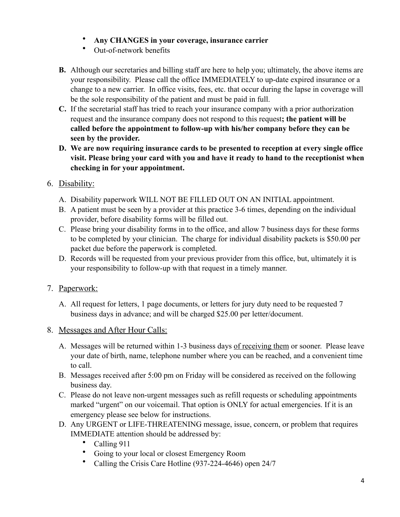- **Any CHANGES in your coverage, insurance carrier**
- Out-of-network benefits
- **B.** Although our secretaries and billing staff are here to help you; ultimately, the above items are your responsibility. Please call the office IMMEDIATELY to up-date expired insurance or a change to a new carrier. In office visits, fees, etc. that occur during the lapse in coverage will be the sole responsibility of the patient and must be paid in full.
- **C.** If the secretarial staff has tried to reach your insurance company with a prior authorization request and the insurance company does not respond to this request**; the patient will be called before the appointment to follow-up with his/her company before they can be seen by the provider.**
- **D. We are now requiring insurance cards to be presented to reception at every single office visit. Please bring your card with you and have it ready to hand to the receptionist when checking in for your appointment.**

### 6. Disability:

- A. Disability paperwork WILL NOT BE FILLED OUT ON AN INITIAL appointment.
- B. A patient must be seen by a provider at this practice 3-6 times, depending on the individual provider, before disability forms will be filled out.
- C. Please bring your disability forms in to the office, and allow 7 business days for these forms to be completed by your clinician. The charge for individual disability packets is \$50.00 per packet due before the paperwork is completed.
- D. Records will be requested from your previous provider from this office, but, ultimately it is your responsibility to follow-up with that request in a timely manner.
- 7. Paperwork:
	- A. All request for letters, 1 page documents, or letters for jury duty need to be requested 7 business days in advance; and will be charged \$25.00 per letter/document.
- 8. Messages and After Hour Calls:
	- A. Messages will be returned within 1-3 business days of receiving them or sooner. Please leave your date of birth, name, telephone number where you can be reached, and a convenient time to call.
	- B. Messages received after 5:00 pm on Friday will be considered as received on the following business day.
	- C. Please do not leave non-urgent messages such as refill requests or scheduling appointments marked "urgent" on our voicemail. That option is ONLY for actual emergencies. If it is an emergency please see below for instructions.
	- D. Any URGENT or LIFE-THREATENING message, issue, concern, or problem that requires IMMEDIATE attention should be addressed by:
		- Calling 911
		- Going to your local or closest Emergency Room
		- Calling the Crisis Care Hotline (937-224-4646) open 24/7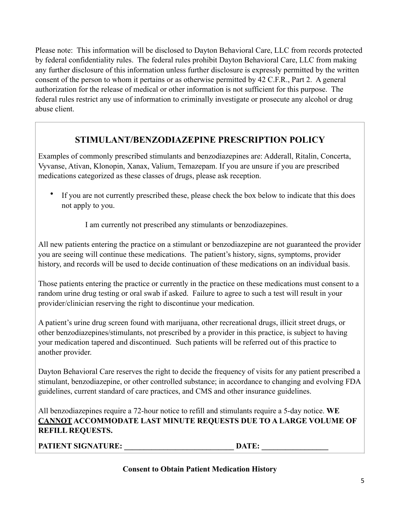Please note: This information will be disclosed to Dayton Behavioral Care, LLC from records protected by federal confidentiality rules. The federal rules prohibit Dayton Behavioral Care, LLC from making any further disclosure of this information unless further disclosure is expressly permitted by the written consent of the person to whom it pertains or as otherwise permitted by 42 C.F.R., Part 2. A general authorization for the release of medical or other information is not sufficient for this purpose. The federal rules restrict any use of information to criminally investigate or prosecute any alcohol or drug abuse client.

## **STIMULANT/BENZODIAZEPINE PRESCRIPTION POLICY**

Examples of commonly prescribed stimulants and benzodiazepines are: Adderall, Ritalin, Concerta, Vyvanse, Ativan, Klonopin, Xanax, Valium, Temazepam. If you are unsure if you are prescribed medications categorized as these classes of drugs, please ask reception.

If you are not currently prescribed these, please check the box below to indicate that this does not apply to you.

I am currently not prescribed any stimulants or benzodiazepines.

All new patients entering the practice on a stimulant or benzodiazepine are not guaranteed the provider you are seeing will continue these medications. The patient's history, signs, symptoms, provider history, and records will be used to decide continuation of these medications on an individual basis.

Those patients entering the practice or currently in the practice on these medications must consent to a random urine drug testing or oral swab if asked. Failure to agree to such a test will result in your provider/clinician reserving the right to discontinue your medication.

A patient's urine drug screen found with marijuana, other recreational drugs, illicit street drugs, or other benzodiazepines/stimulants, not prescribed by a provider in this practice, is subject to having your medication tapered and discontinued. Such patients will be referred out of this practice to another provider.

Dayton Behavioral Care reserves the right to decide the frequency of visits for any patient prescribed a stimulant, benzodiazepine, or other controlled substance; in accordance to changing and evolving FDA guidelines, current standard of care practices, and CMS and other insurance guidelines.

All benzodiazepines require a 72-hour notice to refill and stimulants require a 5-day notice. **WE CANNOT ACCOMMODATE LAST MINUTE REQUESTS DUE TO A LARGE VOLUME OF REFILL REQUESTS.** 

**PATIENT SIGNATURE:** DATE:

### **Consent to Obtain Patient Medication History**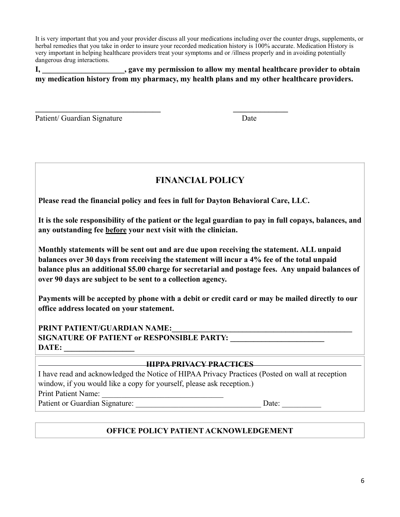It is very important that you and your provider discuss all your medications including over the counter drugs, supplements, or herbal remedies that you take in order to insure your recorded medication history is 100% accurate. Medication History is very important in helping healthcare providers treat your symptoms and or /illness properly and in avoiding potentially dangerous drug interactions.

**I, \_\_\_\_\_\_\_\_\_\_\_\_\_\_\_\_\_\_\_\_\_, gave my permission to allow my mental healthcare provider to obtain my medication history from my pharmacy, my health plans and my other healthcare providers.** 

Patient/ Guardian Signature Date

# **FINANCIAL POLICY**

**Please read the financial policy and fees in full for Dayton Behavioral Care, LLC.** 

**\_\_\_\_\_\_\_\_\_\_\_\_\_\_\_\_\_\_\_\_\_\_\_\_\_\_\_\_\_\_\_\_ \_\_\_\_\_\_\_\_\_\_\_\_\_\_** 

**It is the sole responsibility of the patient or the legal guardian to pay in full copays, balances, and any outstanding fee before your next visit with the clinician.** 

**Monthly statements will be sent out and are due upon receiving the statement. ALL unpaid balances over 30 days from receiving the statement will incur a 4% fee of the total unpaid balance plus an additional \$5.00 charge for secretarial and postage fees. Any unpaid balances of over 90 days are subject to be sent to a collection agency.** 

**Payments will be accepted by phone with a debit or credit card or may be mailed directly to our office address located on your statement.** 

PRINT PATIENT/GUARDIAN NAME: **SIGNATURE OF PATIENT or RESPONSIBLE PARTY:** DATE:

## **HIPPA PRIVACY PRACTICES**

I have read and acknowledged the Notice of HIPAA Privacy Practices (Posted on wall at reception window, if you would like a copy for yourself, please ask reception.) Print Patient Name:

Patient or Guardian Signature: <br>
Date:

## **OFFICE POLICY PATIENT ACKNOWLEDGEMENT**